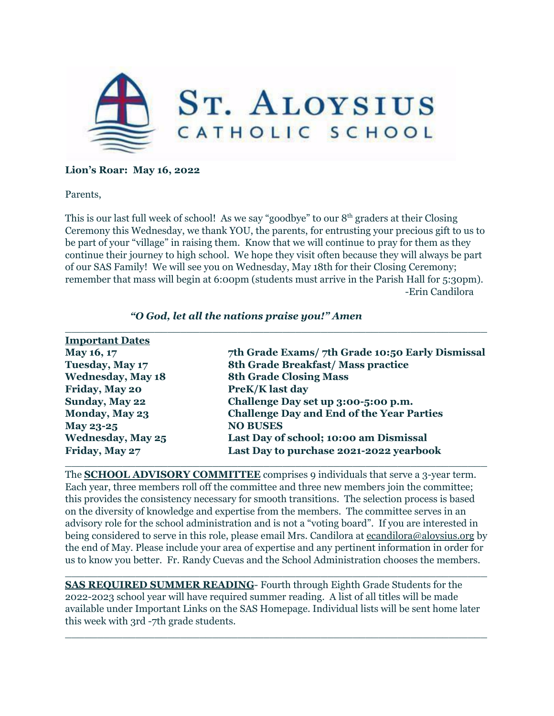

### **Lion's Roar: May 16, 2022**

Parents,

This is our last full week of school! As we say "goodbye" to our 8<sup>th</sup> graders at their Closing Ceremony this Wednesday, we thank YOU, the parents, for entrusting your precious gift to us to be part of your "village" in raising them. Know that we will continue to pray for them as they continue their journey to high school. We hope they visit often because they will always be part of our SAS Family! We will see you on Wednesday, May 18th for their Closing Ceremony; remember that mass will begin at 6:00pm (students must arrive in the Parish Hall for 5:30pm). -Erin Candilora

| <b>Important Dates</b>   |                                                  |
|--------------------------|--------------------------------------------------|
| May 16, 17               | 7th Grade Exams/7th Grade 10:50 Early Dismissal  |
| <b>Tuesday, May 17</b>   | 8th Grade Breakfast/Mass practice                |
| <b>Wednesday, May 18</b> | <b>8th Grade Closing Mass</b>                    |
| Friday, May 20           | <b>PreK/K last day</b>                           |
| Sunday, May 22           | Challenge Day set up 3:00-5:00 p.m.              |
| Monday, May 23           | <b>Challenge Day and End of the Year Parties</b> |
| May 23-25                | <b>NO BUSES</b>                                  |
| <b>Wednesday, May 25</b> | Last Day of school; 10:00 am Dismissal           |
| Friday, May 27           | Last Day to purchase 2021-2022 yearbook          |

#### *"O God, let all the nations praise you!" Amen*

The **SCHOOL ADVISORY COMMITTEE** comprises 9 individuals that serve a 3-year term. Each year, three members roll off the committee and three new members join the committee; this provides the consistency necessary for smooth transitions. The selection process is based on the diversity of knowledge and expertise from the members. The committee serves in an advisory role for the school administration and is not a "voting board". If you are interested in being considered to serve in this role, please email Mrs. Candilora at [ecandilora@aloysius.org](mailto:ecandilora@aloysius.org) by the end of May. Please include your area of expertise and any pertinent information in order for us to know you better. Fr. Randy Cuevas and the School Administration chooses the members.

**SAS REQUIRED SUMMER READING**- Fourth through Eighth Grade Students for the 2022-2023 school year will have required summer reading. A list of all titles will be made available under Important Links on the SAS Homepage. Individual lists will be sent home later this week with 3rd -7th grade students.

 $\_$  , and the contribution of the contribution of  $\mathcal{L}_1$  , and the contribution of  $\mathcal{L}_2$  , and  $\mathcal{L}_3$ 

 $\_$  , and the set of the set of the set of the set of the set of the set of the set of the set of the set of the set of the set of the set of the set of the set of the set of the set of the set of the set of the set of th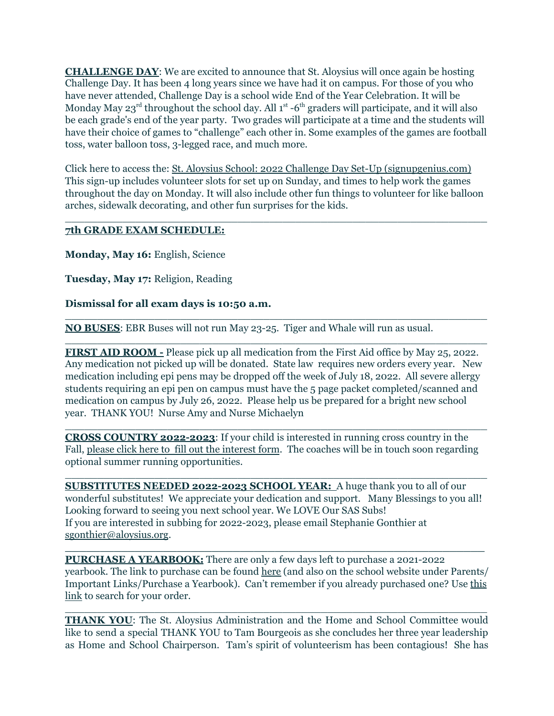**CHALLENGE DAY**: We are excited to announce that St. Aloysius will once again be hosting Challenge Day. It has been 4 long years since we have had it on campus. For those of you who have never attended, Challenge Day is a school wide End of the Year Celebration. It will be Monday May 23<sup>rd</sup> throughout the school day. All 1<sup>st</sup> -6<sup>th</sup> graders will participate, and it will also be each grade's end of the year party. Two grades will participate at a time and the students will have their choice of games to "challenge" each other in. Some examples of the games are football toss, water balloon toss, 3-legged race, and much more.

Click here to access the: St. Aloysius School: 2022 Challenge Day Set-Up [\(signupgenius.com\)](https://www.signupgenius.com/go/9040445afa62fa46-20188) This sign-up includes volunteer slots for set up on Sunday, and times to help work the games throughout the day on Monday. It will also include other fun things to volunteer for like balloon arches, sidewalk decorating, and other fun surprises for the kids.

 $\_$  , and the set of the set of the set of the set of the set of the set of the set of the set of the set of the set of the set of the set of the set of the set of the set of the set of the set of the set of the set of th

### **7th GRADE EXAM SCHEDULE:**

**Monday, May 16:** English, Science

**Tuesday, May 17:** Religion, Reading

### **Dismissal for all exam days is 10:50 a.m.**

**NO BUSES**: EBR Buses will not run May 23-25. Tiger and Whale will run as usual.

**FIRST AID ROOM -** Please pick up all medication from the First Aid office by May 25, 2022. Any medication not picked up will be donated. State law requires new orders every year. New medication including epi pens may be dropped off the week of July 18, 2022. All severe allergy students requiring an epi pen on campus must have the 5 page packet completed/scanned and medication on campus by July 26, 2022. Please help us be prepared for a bright new school year. THANK YOU! Nurse Amy and Nurse Michaelyn

 $\_$  , and the set of the set of the set of the set of the set of the set of the set of the set of the set of the set of the set of the set of the set of the set of the set of the set of the set of the set of the set of th

 $\_$  , and the set of the set of the set of the set of the set of the set of the set of the set of the set of the set of the set of the set of the set of the set of the set of the set of the set of the set of the set of th

**CROSS COUNTRY 2022-2023**: If your child is interested in running cross country in the Fall, please click here to fill out the [interest](https://forms.gle/68EJZJVekFoVM8JRA) form. The coaches will be in touch soon regarding optional summer running opportunities.

 $\_$  , and the set of the set of the set of the set of the set of the set of the set of the set of the set of the set of the set of the set of the set of the set of the set of the set of the set of the set of the set of th

 $\_$  , and the set of the set of the set of the set of the set of the set of the set of the set of the set of the set of the set of the set of the set of the set of the set of the set of the set of the set of the set of th

**SUBSTITUTES NEEDED 2022-2023 SCHOOL YEAR:** A huge thank you to all of our wonderful substitutes! We appreciate your dedication and support. Many Blessings to you all! Looking forward to seeing you next school year. We LOVE Our SAS Subs! If you are interested in subbing for 2022-2023, please email Stephanie Gonthier at [sgonthier@aloysius.org](mailto:sgonthier@aloysius.org).

**PURCHASE A YEARBOOK:** There are only a few days left to purchase a 2021-2022 yearbook. The link to purchase can be found [here](https://yearbookforever.com/schools/st_aloysius_school_buy_yearbook_4446/) (and also on the school website under Parents/ Important Links/Purchase a Yearbook). Can't remember if you already purchased one? Use [this](https://yearbookforever.com/) [link](https://yearbookforever.com/) to search for your order.

**\_\_\_\_\_\_\_\_\_\_\_\_\_\_\_\_\_\_\_\_\_\_\_\_\_\_\_\_\_\_\_\_\_\_\_\_\_\_\_\_\_\_\_\_\_\_\_\_\_\_\_\_\_\_\_\_\_\_\_\_**

**THANK YOU**: The St. Aloysius Administration and the Home and School Committee would like to send a special THANK YOU to Tam Bourgeois as she concludes her three year leadership as Home and School Chairperson. Tam's spirit of volunteerism has been contagious! She has

 $\_$  , and the set of the set of the set of the set of the set of the set of the set of the set of the set of the set of the set of the set of the set of the set of the set of the set of the set of the set of the set of th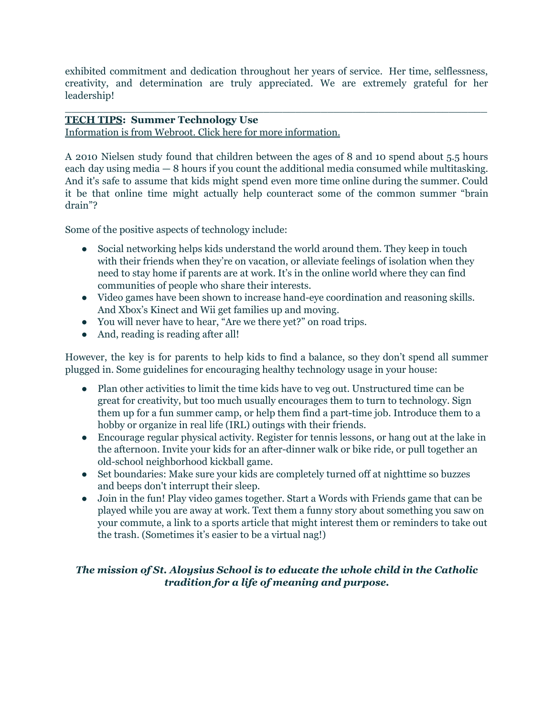exhibited commitment and dedication throughout her years of service. Her time, selflessness, creativity, and determination are truly appreciated. We are extremely grateful for her leadership!

 $\_$  , and the set of the set of the set of the set of the set of the set of the set of the set of the set of the set of the set of the set of the set of the set of the set of the set of the set of the set of the set of th

## **TECH TIPS: Summer Technology Use**

Information is from Webroot. Click here for more [information.](https://www.webroot.com/us/en/resources/tips-articles/healthy-technology-usage-and-summer-vacation-helping-your-child-set-parameters)

A 2010 [Nielsen](http://mashable.com/2011/03/14/children-internet-stats/) study found that children between the ages of 8 and 10 spend about 5.5 hours each day using media — 8 hours if you count the additional media consumed while multitasking. And it's safe to assume that kids might spend even more time online during the summer. Could it be that online time might actually help counteract some of the common summer "brain drain"?

Some of the positive aspects of technology include:

- Social networking helps kids [understand](http://mashable.com/2011/08/09/kids-tech-developmental-health/) the world around them. They keep in touch with their friends when they're on vacation, or alleviate feelings of isolation when they need to stay home if parents are at work. It's in the online world where they can find communities of people who share their interests.
- Video games have been shown to increase hand-eye [coordination](https://www.engadget.com/2017/02/09/8-cognitive-benefits-of-playing-video-games-for-kids/) and reasoning skills. And Xbox's Kinect and Wii get families up and moving.
- You will never have to hear, "Are we there yet?" on road trips.
- And, reading is reading after all!

However, the key is for parents to help kids to find a balance, so they don't spend all summer plugged in. Some guidelines for encouraging healthy technology usage in your house:

- Plan other activities to limit the time kids have to veg out. Unstructured time can be great for creativity, but too much usually encourages them to turn to technology. Sign them up for a fun summer camp, or help them find a part-time job. Introduce them to a hobby or organize in real life (IRL) outings with their friends.
- Encourage regular physical activity. Register for tennis lessons, or hang out at the lake in the afternoon. Invite your kids for an after-dinner walk or bike ride, or pull together an old-school neighborhood kickball game.
- Set boundaries: Make sure your kids are completely turned off at nighttime so buzzes and beeps don't [interrupt](https://www.webroot.com/us/en/resources/tips-articles/children-sleep-and-technology) their sleep.
- Join in the fun! Play video games together. Start a Words with [Friends](http://www.wordswithfriends.com/) game that can be played while you are away at work. Text them a funny story about something you saw on your commute, a link to a sports article that might interest them or reminders to take out the trash. (Sometimes it's easier to be a virtual nag!)

# *The mission of St. Aloysius School is to educate the whole child in the Catholic tradition for a life of meaning and purpose.*